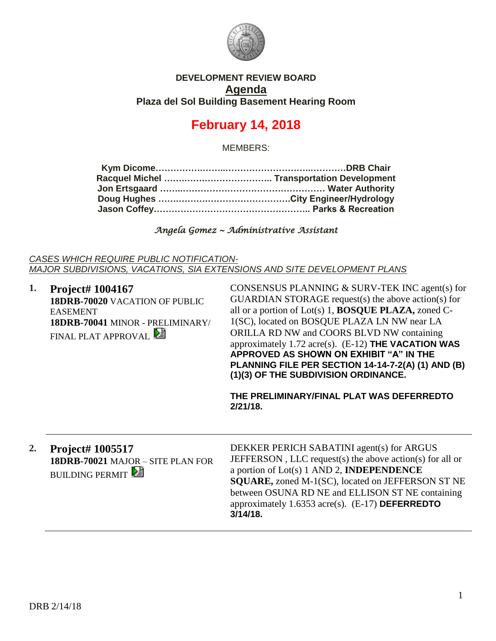

### **DEVELOPMENT REVIEW BOARD Agenda Plaza del Sol Building Basement Hearing Room**

# **February 14, 2018**

MEMBERS:

*Angela Gomez ~ Administrative Assistant* 

*CASES WHICH REQUIRE PUBLIC NOTIFICATION-MAJOR SUBDIVISIONS, VACATIONS, SIA EXTENSIONS AND SITE DEVELOPMENT PLANS*

**1. Project# 1004167 18DRB-70020** VACATION OF PUBLIC EASEMENT **18DRB-70041** MINOR - PRELIMINARY/ FINAL PLAT APPROVAL CONSENSUS PLANNING & SURV-TEK INC agent(s) for GUARDIAN STORAGE request(s) the above action(s) for all or a portion of Lot(s) 1, **BOSQUE PLAZA,** zoned C-1(SC), located on BOSQUE PLAZA LN NW near LA ORILLA RD NW and COORS BLVD NW containing approximately 1.72 acre(s). (E-12) **THE VACATION WAS APPROVED AS SHOWN ON EXHIBIT "A" IN THE PLANNING FILE PER SECTION 14-14-7-2(A) (1) AND (B) (1)(3) OF THE SUBDIVISION ORDINANCE. THE PRELIMINARY/FINAL PLAT WAS DEFERREDTO 2/21/18. 2. Project# 1005517 18DRB-70021** MAJOR – SITE PLAN FOR **BUILDING PERMIT** DEKKER PERICH SABATINI agent(s) for ARGUS JEFFERSON , LLC request(s) the above action(s) for all or a portion of Lot(s) 1 AND 2, **INDEPENDENCE SQUARE,** zoned M-1(SC), located on JEFFERSON ST NE between OSUNA RD NE and ELLISON ST NE containing approximately 1.6353 acre(s). (E-17) **DEFERREDTO 3/14/18.**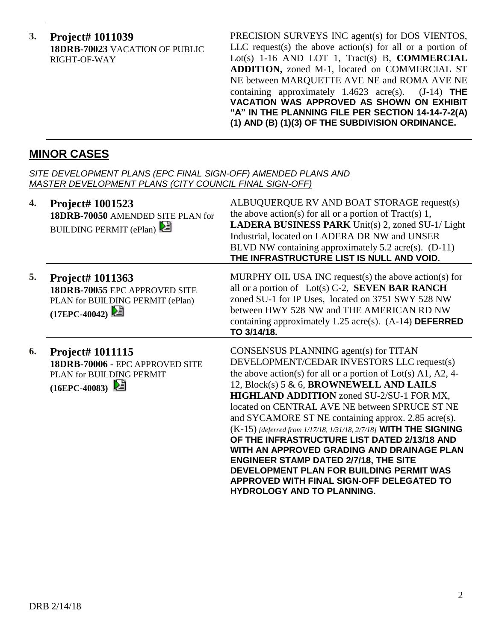**3. Project# 1011039 18DRB-70023** VACATION OF PUBLIC RIGHT-OF-WAY

PRECISION SURVEYS INC agent(s) for DOS VIENTOS, LLC request(s) the above action(s) for all or a portion of Lot(s) 1-16 AND LOT 1, Tract(s) B, **COMMERCIAL ADDITION,** zoned M-1, located on COMMERCIAL ST NE between MARQUETTE AVE NE and ROMA AVE NE containing approximately 1.4623 acre(s). (J-14) **THE VACATION WAS APPROVED AS SHOWN ON EXHIBIT "A" IN THE PLANNING FILE PER SECTION 14-14-7-2(A) (1) AND (B) (1)(3) OF THE SUBDIVISION ORDINANCE.**

## **MINOR CASES**

| SITE DEVELOPMENT PLANS (EPC FINAL SIGN-OFF) AMENDED PLANS AND<br><b>MASTER DEVELOPMENT PLANS (CITY COUNCIL FINAL SIGN-OFF)</b> |                                                                                                             |                                                                                                                                                                                                                                                                                                                                                                                                                                                                                                                                                                                                                                                                                                          |  |
|--------------------------------------------------------------------------------------------------------------------------------|-------------------------------------------------------------------------------------------------------------|----------------------------------------------------------------------------------------------------------------------------------------------------------------------------------------------------------------------------------------------------------------------------------------------------------------------------------------------------------------------------------------------------------------------------------------------------------------------------------------------------------------------------------------------------------------------------------------------------------------------------------------------------------------------------------------------------------|--|
| 4.                                                                                                                             | <b>Project# 1001523</b><br>18DRB-70050 AMENDED SITE PLAN for<br>BUILDING PERMIT (ePlan)                     | ALBUQUERQUE RV AND BOAT STORAGE request(s)<br>the above action(s) for all or a portion of $Tract(s)$ 1,<br>LADERA BUSINESS PARK Unit(s) 2, zoned SU-1/ Light<br>Industrial, located on LADERA DR NW and UNSER<br>BLVD NW containing approximately 5.2 acre(s). (D-11)<br>THE INFRASTRUCTURE LIST IS NULL AND VOID.                                                                                                                                                                                                                                                                                                                                                                                       |  |
| 5.                                                                                                                             | Project# 1011363<br>18DRB-70055 EPC APPROVED SITE<br>PLAN for BUILDING PERMIT (ePlan)<br>(17EPC-40042)      | MURPHY OIL USA INC request(s) the above action(s) for<br>all or a portion of Lot(s) $C-2$ , <b>SEVEN BAR RANCH</b><br>zoned SU-1 for IP Uses, located on 3751 SWY 528 NW<br>between HWY 528 NW and THE AMERICAN RD NW<br>containing approximately 1.25 acre(s). $(A-14)$ DEFERRED<br>TO 3/14/18.                                                                                                                                                                                                                                                                                                                                                                                                         |  |
| 6.                                                                                                                             | <b>Project# 1011115</b><br>18DRB-70006 - EPC APPROVED SITE<br>PLAN for BUILDING PERMIT<br>$(16EPC - 40083)$ | CONSENSUS PLANNING agent(s) for TITAN<br>DEVELOPMENT/CEDAR INVESTORS LLC request(s)<br>the above action(s) for all or a portion of $Lot(s)$ A1, A2, 4-<br>12, Block(s) 5 & 6, BROWNEWELL AND LAILS<br>HIGHLAND ADDITION zoned SU-2/SU-1 FOR MX,<br>located on CENTRAL AVE NE between SPRUCE ST NE<br>and SYCAMORE ST NE containing approx. 2.85 acre(s).<br>(K-15) [deferred from 1/17/18, 1/31/18, 2/7/18] WITH THE SIGNING<br>OF THE INFRASTRUCTURE LIST DATED 2/13/18 AND<br>WITH AN APPROVED GRADING AND DRAINAGE PLAN<br><b>ENGINEER STAMP DATED 2/7/18, THE SITE</b><br>DEVELOPMENT PLAN FOR BUILDING PERMIT WAS<br>APPROVED WITH FINAL SIGN-OFF DELEGATED TO<br><b>HYDROLOGY AND TO PLANNING.</b> |  |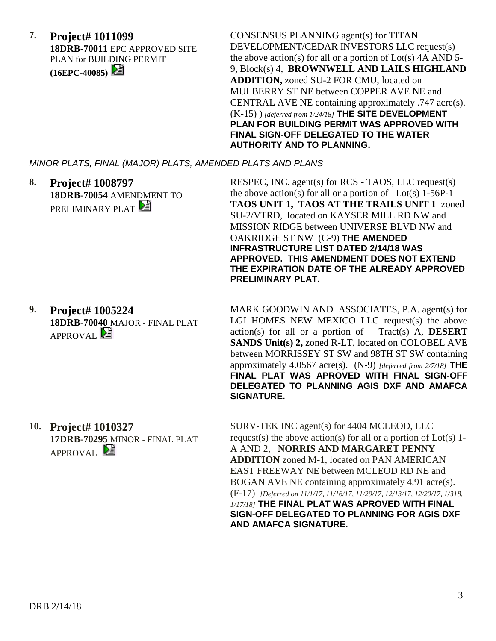| 7. Project# 1011099                  |  |  |
|--------------------------------------|--|--|
| <b>18DRB-70011 EPC APPROVED SITE</b> |  |  |
| PLAN for BUILDING PERMIT             |  |  |
| $(16EPC-40085)$                      |  |  |

CONSENSUS PLANNING agent(s) for TITAN DEVELOPMENT/CEDAR INVESTORS LLC request(s) the above action(s) for all or a portion of  $Lot(s)$  4A AND 5-9, Block(s) 4, **BROWNWELL AND LAILS HIGHLAND ADDITION,** zoned SU-2 FOR CMU, located on MULBERRY ST NE between COPPER AVE NE and CENTRAL AVE NE containing approximately .747 acre(s). (K-15) ) *[deferred from 1/24/18]* **THE SITE DEVELOPMENT PLAN FOR BUILDING PERMIT WAS APPROVED WITH FINAL SIGN-OFF DELEGATED TO THE WATER AUTHORITY AND TO PLANNING.**

#### *MINOR PLATS, FINAL (MAJOR) PLATS, AMENDED PLATS AND PLANS*

| 8. | Project# 1008797<br>18DRB-70054 AMENDMENT TO<br>PRELIMINARY PLAT                | RESPEC, INC. agent(s) for RCS - TAOS, LLC request(s)<br>the above action(s) for all or a portion of $Lot(s)$ 1-56P-1<br>TAOS UNIT 1, TAOS AT THE TRAILS UNIT 1 zoned<br>SU-2/VTRD, located on KAYSER MILL RD NW and<br>MISSION RIDGE between UNIVERSE BLVD NW and<br>OAKRIDGE ST NW (C-9) THE AMENDED<br><b>INFRASTRUCTURE LIST DATED 2/14/18 WAS</b><br>APPROVED. THIS AMENDMENT DOES NOT EXTEND<br>THE EXPIRATION DATE OF THE ALREADY APPROVED<br>PRELIMINARY PLAT.                                                    |
|----|---------------------------------------------------------------------------------|--------------------------------------------------------------------------------------------------------------------------------------------------------------------------------------------------------------------------------------------------------------------------------------------------------------------------------------------------------------------------------------------------------------------------------------------------------------------------------------------------------------------------|
| 9. | <b>Project# 1005224</b><br>18DRB-70040 MAJOR - FINAL PLAT<br><b>APPROVAL</b>    | MARK GOODWIN AND ASSOCIATES, P.A. agent(s) for<br>LGI HOMES NEW MEXICO LLC request(s) the above<br>$action(s)$ for all or a portion of Tract(s) A, <b>DESERT</b><br><b>SANDS Unit(s) 2, zoned R-LT, located on COLOBEL AVE</b><br>between MORRISSEY ST SW and 98TH ST SW containing<br>approximately 4.0567 acre(s). $(N-9)$ [deferred from 2/7/18] THE<br>FINAL PLAT WAS APROVED WITH FINAL SIGN-OFF<br>DELEGATED TO PLANNING AGIS DXF AND AMAFCA<br><b>SIGNATURE.</b>                                                  |
|    | 10. Project# 1010327<br>17DRB-70295 MINOR - FINAL PLAT<br>APPROVAL <sup>2</sup> | SURV-TEK INC agent(s) for 4404 MCLEOD, LLC<br>request(s) the above action(s) for all or a portion of $Lot(s)$ 1-<br>A AND 2, NORRIS AND MARGARET PENNY<br><b>ADDITION</b> zoned M-1, located on PAN AMERICAN<br>EAST FREEWAY NE between MCLEOD RD NE and<br>BOGAN AVE NE containing approximately 4.91 acre(s).<br>(F-17) [Deferred on 11/1/17, 11/16/17, 11/29/17, 12/13/17, 12/20/17, 1/318,<br>1/17/18] THE FINAL PLAT WAS APROVED WITH FINAL<br>SIGN-OFF DELEGATED TO PLANNING FOR AGIS DXF<br>AND AMAFCA SIGNATURE. |